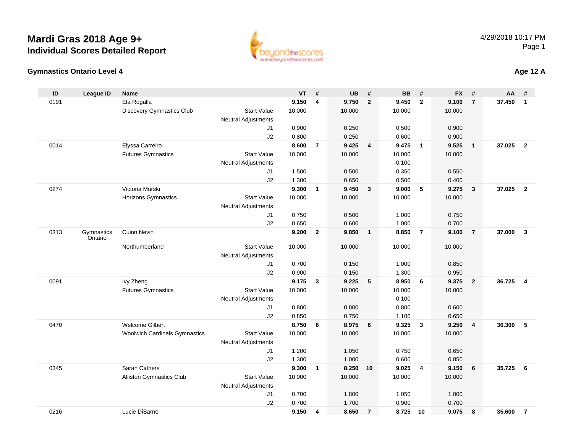#### **Gymnastics Ontario Level 4**

0216

| ID   | <b>League ID</b>      | Name                                 |                            | VT     | $\pmb{\#}$              | <b>UB</b> | $\#$                    | <b>BB</b> | #                       | <b>FX</b> | #               | AA     | #              |
|------|-----------------------|--------------------------------------|----------------------------|--------|-------------------------|-----------|-------------------------|-----------|-------------------------|-----------|-----------------|--------|----------------|
| 0191 |                       | Ela Rogalla                          |                            | 9.150  | $\overline{\mathbf{4}}$ | 9.750     | $\overline{2}$          | 9.450     | $\overline{2}$          | 9.100     | $\overline{7}$  | 37.450 | $\mathbf{1}$   |
|      |                       | <b>Discovery Gymnastics Club</b>     | <b>Start Value</b>         | 10.000 |                         | 10.000    |                         | 10.000    |                         | 10.000    |                 |        |                |
|      |                       |                                      | <b>Neutral Adjustments</b> |        |                         |           |                         |           |                         |           |                 |        |                |
|      |                       |                                      | J1                         | 0.900  |                         | 0.250     |                         | 0.500     |                         | 0.900     |                 |        |                |
|      |                       |                                      | J2                         | 0.800  |                         | 0.250     |                         | 0.600     |                         | 0.900     |                 |        |                |
| 0014 |                       | Elyssa Carreiro                      |                            | 8.600  | $\overline{7}$          | 9.425     | $\overline{4}$          | 9.475     | $\overline{1}$          | 9.525     | $\overline{1}$  | 37.025 | $\overline{2}$ |
|      |                       | <b>Futures Gymnastics</b>            | <b>Start Value</b>         | 10.000 |                         | 10.000    |                         | 10.000    |                         | 10.000    |                 |        |                |
|      |                       |                                      | <b>Neutral Adjustments</b> |        |                         |           |                         | $-0.100$  |                         |           |                 |        |                |
|      |                       |                                      | J1                         | 1.500  |                         | 0.500     |                         | 0.350     |                         | 0.550     |                 |        |                |
|      |                       |                                      | J2                         | 1.300  |                         | 0.650     |                         | 0.500     |                         | 0.400     |                 |        |                |
| 0274 |                       | Victoria Murski                      |                            | 9.300  | $\mathbf{1}$            | 9.450     | $\overline{\mathbf{3}}$ | 9.000     | 5                       | 9.275     | $\mathbf{3}$    | 37.025 | $\overline{2}$ |
|      |                       | Horizons Gymnastics                  | <b>Start Value</b>         | 10.000 |                         | 10.000    |                         | 10.000    |                         | 10.000    |                 |        |                |
|      |                       |                                      | <b>Neutral Adjustments</b> |        |                         |           |                         |           |                         |           |                 |        |                |
|      |                       |                                      | J1                         | 0.750  |                         | 0.500     |                         | 1.000     |                         | 0.750     |                 |        |                |
|      |                       |                                      | J2                         | 0.650  |                         | 0.600     |                         | 1.000     |                         | 0.700     |                 |        |                |
| 0313 | Gymnastics<br>Ontario | <b>Cuinn Nevin</b>                   |                            | 9.200  | $\overline{2}$          | 9.850     | $\overline{\mathbf{1}}$ | 8.850     | $\overline{7}$          | 9.100     | $\overline{7}$  | 37.000 | $\mathbf{3}$   |
|      |                       | Northumberland                       | <b>Start Value</b>         | 10.000 |                         | 10.000    |                         | 10.000    |                         | 10.000    |                 |        |                |
|      |                       |                                      | Neutral Adjustments        |        |                         |           |                         |           |                         |           |                 |        |                |
|      |                       |                                      | J1                         | 0.700  |                         | 0.150     |                         | 1.000     |                         | 0.850     |                 |        |                |
|      |                       |                                      | J2                         | 0.900  |                         | 0.150     |                         | 1.300     |                         | 0.950     |                 |        |                |
| 0091 |                       | Ivy Zheng                            |                            | 9.175  | $\mathbf{3}$            | 9.225     | $5\phantom{.0}$         | 8.950     | 6                       | 9.375     | $\overline{2}$  | 36.725 | $\overline{4}$ |
|      |                       | <b>Futures Gymnastics</b>            | <b>Start Value</b>         | 10.000 |                         | 10.000    |                         | 10.000    |                         | 10.000    |                 |        |                |
|      |                       |                                      | Neutral Adjustments        |        |                         |           |                         | $-0.100$  |                         |           |                 |        |                |
|      |                       |                                      | J1                         | 0.800  |                         | 0.800     |                         | 0.800     |                         | 0.600     |                 |        |                |
|      |                       |                                      | J2                         | 0.850  |                         | 0.750     |                         | 1.100     |                         | 0.650     |                 |        |                |
| 0470 |                       | Welcome Gilbert                      |                            | 8.750  | 6                       | 8.975     | 6                       | 9.325     | $\overline{\mathbf{3}}$ | 9.250     | $\overline{4}$  | 36.300 | 5              |
|      |                       | <b>Woolwich Cardinals Gymnastics</b> | <b>Start Value</b>         | 10.000 |                         | 10.000    |                         | 10.000    |                         | 10.000    |                 |        |                |
|      |                       |                                      | Neutral Adjustments        |        |                         |           |                         |           |                         |           |                 |        |                |
|      |                       |                                      | J1                         | 1.200  |                         | 1.050     |                         | 0.750     |                         | 0.650     |                 |        |                |
|      |                       |                                      | J2                         | 1.300  |                         | 1.000     |                         | 0.600     |                         | 0.850     |                 |        |                |
| 0345 |                       | Sarah Cathers                        |                            | 9.300  | $\mathbf{1}$            | 8.250 10  |                         | 9.025     | 4                       | 9.150     | $6\phantom{1}6$ | 35.725 | 6              |
|      |                       | Alliston Gymnastics Club             | <b>Start Value</b>         | 10.000 |                         | 10.000    |                         | 10.000    |                         | 10.000    |                 |        |                |
|      |                       |                                      | <b>Neutral Adjustments</b> |        |                         |           |                         |           |                         |           |                 |        |                |
|      |                       |                                      | J1                         | 0.700  |                         | 1.800     |                         | 1.050     |                         | 1.000     |                 |        |                |
|      |                       |                                      | J2                         | 0.700  |                         | 1.700     |                         | 0.900     |                         | 0.700     |                 |        |                |

Lucie DiSarno **9.150 <sup>4</sup> 8.650 <sup>7</sup> 8.725 <sup>10</sup> 9.075 <sup>8</sup> 35.600 <sup>7</sup>**



**Age 12 A**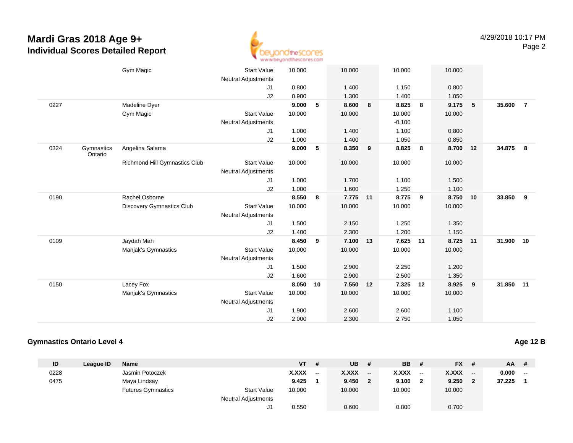

|      |                       | Gym Magic                     | <b>Start Value</b>         | 10.000 |    | 10.000   |   | 10.000   |    | 10.000 |      |           |                |
|------|-----------------------|-------------------------------|----------------------------|--------|----|----------|---|----------|----|--------|------|-----------|----------------|
|      |                       |                               | <b>Neutral Adjustments</b> |        |    |          |   |          |    |        |      |           |                |
|      |                       |                               | J1                         | 0.800  |    | 1.400    |   | 1.150    |    | 0.800  |      |           |                |
|      |                       |                               | J2                         | 0.900  |    | 1.300    |   | 1.400    |    | 1.050  |      |           |                |
| 0227 |                       | Madeline Dyer                 |                            | 9.000  | 5  | 8.600    | 8 | 8.825    | 8  | 9.175  | $-5$ | 35.600    | $\overline{7}$ |
|      |                       | Gym Magic                     | <b>Start Value</b>         | 10.000 |    | 10.000   |   | 10.000   |    | 10.000 |      |           |                |
|      |                       |                               | <b>Neutral Adjustments</b> |        |    |          |   | $-0.100$ |    |        |      |           |                |
|      |                       |                               | J1                         | 1.000  |    | 1.400    |   | 1.100    |    | 0.800  |      |           |                |
|      |                       |                               | J2                         | 1.000  |    | 1.400    |   | 1.050    |    | 0.850  |      |           |                |
| 0324 | Gymnastics<br>Ontario | Angelina Salama               |                            | 9.000  | 5  | 8.350    | 9 | 8.825    | 8  | 8.700  | 12   | 34.875    | - 8            |
|      |                       | Richmond Hill Gymnastics Club | <b>Start Value</b>         | 10.000 |    | 10.000   |   | 10.000   |    | 10.000 |      |           |                |
|      |                       |                               | <b>Neutral Adjustments</b> |        |    |          |   |          |    |        |      |           |                |
|      |                       |                               | J1                         | 1.000  |    | 1.700    |   | 1.100    |    | 1.500  |      |           |                |
|      |                       |                               | J2                         | 1.000  |    | 1.600    |   | 1.250    |    | 1.100  |      |           |                |
| 0190 |                       | Rachel Osborne                |                            | 8.550  | 8  | 7.775 11 |   | 8.775    | 9  | 8.750  | 10   | 33.850    | 9              |
|      |                       | Discovery Gymnastics Club     | <b>Start Value</b>         | 10.000 |    | 10.000   |   | 10.000   |    | 10.000 |      |           |                |
|      |                       |                               | <b>Neutral Adjustments</b> |        |    |          |   |          |    |        |      |           |                |
|      |                       |                               | J <sub>1</sub>             | 1.500  |    | 2.150    |   | 1.250    |    | 1.350  |      |           |                |
|      |                       |                               | J2                         | 1.400  |    | 2.300    |   | 1.200    |    | 1.150  |      |           |                |
| 0109 |                       | Jaydah Mah                    |                            | 8.450  | 9  | 7.100 13 |   | 7.625 11 |    | 8.725  | 11   | 31.900 10 |                |
|      |                       | Manjak's Gymnastics           | <b>Start Value</b>         | 10.000 |    | 10.000   |   | 10.000   |    | 10.000 |      |           |                |
|      |                       |                               | <b>Neutral Adjustments</b> |        |    |          |   |          |    |        |      |           |                |
|      |                       |                               | J <sub>1</sub>             | 1.500  |    | 2.900    |   | 2.250    |    | 1.200  |      |           |                |
|      |                       |                               | J2                         | 1.600  |    | 2.900    |   | 2.500    |    | 1.350  |      |           |                |
| 0150 |                       | Lacey Fox                     |                            | 8.050  | 10 | 7.550 12 |   | 7.325    | 12 | 8.925  | 9    | 31.850 11 |                |
|      |                       | Manjak's Gymnastics           | <b>Start Value</b>         | 10.000 |    | 10.000   |   | 10.000   |    | 10.000 |      |           |                |
|      |                       |                               | <b>Neutral Adjustments</b> |        |    |          |   |          |    |        |      |           |                |
|      |                       |                               | J <sub>1</sub>             | 1.900  |    | 2.600    |   | 2.600    |    | 1.100  |      |           |                |
|      |                       |                               | J2                         | 2.000  |    | 2.300    |   | 2.750    |    | 1.050  |      |           |                |
|      |                       |                               |                            |        |    |          |   |          |    |        |      |           |                |

### **Gymnastics Ontario Level 4**

| ID   | League ID | <b>Name</b>               |                            | <b>VT</b> | #                        | <b>UB</b>    | #                        | <b>BB</b>    | #     | <b>FX</b> | #                        | $AA$ # |     |
|------|-----------|---------------------------|----------------------------|-----------|--------------------------|--------------|--------------------------|--------------|-------|-----------|--------------------------|--------|-----|
| 0228 |           | Jasmin Potoczek           |                            | X.XXX     | $\overline{\phantom{a}}$ | <b>X.XXX</b> | $\overline{\phantom{a}}$ | <b>X.XXX</b> | $- -$ | X.XXX     | $\overline{\phantom{a}}$ | 0.000  | $-$ |
| 0475 |           | Maya Lindsay              |                            | 9.425     |                          | 9.450        |                          | 9.100        | 2     | 9.250     | $\mathbf{2}$             | 37.225 |     |
|      |           | <b>Futures Gymnastics</b> | <b>Start Value</b>         | 10.000    |                          | 10.000       |                          | 10.000       |       | 10.000    |                          |        |     |
|      |           |                           | <b>Neutral Adjustments</b> |           |                          |              |                          |              |       |           |                          |        |     |
|      |           |                           | J1.                        | 0.550     |                          | 0.600        |                          | 0.800        |       | 0.700     |                          |        |     |

**Age 12 B**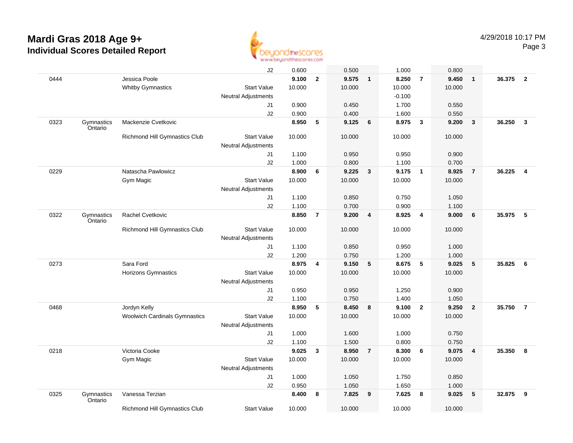

|      |                       |                                      | J2                                               | 0.600  |                | 0.500  |                 | 1.000    |                         | 0.800  |                         |        |                |
|------|-----------------------|--------------------------------------|--------------------------------------------------|--------|----------------|--------|-----------------|----------|-------------------------|--------|-------------------------|--------|----------------|
| 0444 |                       | Jessica Poole                        |                                                  | 9.100  | $\mathbf{2}$   | 9.575  | $\mathbf{1}$    | 8.250    | $\overline{7}$          | 9.450  | $\mathbf{1}$            | 36.375 | $\overline{2}$ |
|      |                       | <b>Whitby Gymnastics</b>             | <b>Start Value</b>                               | 10.000 |                | 10.000 |                 | 10.000   |                         | 10.000 |                         |        |                |
|      |                       |                                      | <b>Neutral Adjustments</b>                       |        |                |        |                 | $-0.100$ |                         |        |                         |        |                |
|      |                       |                                      | J1                                               | 0.900  |                | 0.450  |                 | 1.700    |                         | 0.550  |                         |        |                |
|      |                       |                                      | J2                                               | 0.900  |                | 0.400  |                 | 1.600    |                         | 0.550  |                         |        |                |
| 0323 | Gymnastics<br>Ontario | Mackenzie Cvetkovic                  |                                                  | 8.950  | 5              | 9.125  | 6               | 8.975    | $\overline{\mathbf{3}}$ | 9.200  | $\overline{\mathbf{3}}$ | 36.250 | $\mathbf{3}$   |
|      |                       | Richmond Hill Gymnastics Club        | <b>Start Value</b><br><b>Neutral Adjustments</b> | 10.000 |                | 10.000 |                 | 10.000   |                         | 10.000 |                         |        |                |
|      |                       |                                      | J1                                               | 1.100  |                | 0.950  |                 | 0.950    |                         | 0.900  |                         |        |                |
|      |                       |                                      | J2                                               | 1.000  |                | 0.800  |                 | 1.100    |                         | 0.700  |                         |        |                |
| 0229 |                       | Natascha Pawlowicz                   |                                                  | 8.900  | 6              | 9.225  | $\mathbf{3}$    | 9.175    | $\overline{\mathbf{1}}$ | 8.925  | $\overline{7}$          | 36.225 | 4              |
|      |                       | Gym Magic                            | <b>Start Value</b>                               | 10.000 |                | 10.000 |                 | 10.000   |                         | 10.000 |                         |        |                |
|      |                       |                                      | <b>Neutral Adjustments</b>                       |        |                |        |                 |          |                         |        |                         |        |                |
|      |                       |                                      | J1                                               | 1.100  |                | 0.850  |                 | 0.750    |                         | 1.050  |                         |        |                |
|      |                       |                                      | J2                                               | 1.100  |                | 0.700  |                 | 0.900    |                         | 1.100  |                         |        |                |
| 0322 |                       | Rachel Cvetkovic                     |                                                  | 8.850  | $\overline{7}$ | 9.200  |                 | 8.925    |                         | 9.000  | 6                       | 35.975 | -5             |
|      | Gymnastics<br>Ontario |                                      |                                                  |        |                |        | 4               |          | 4                       |        |                         |        |                |
|      |                       | Richmond Hill Gymnastics Club        | <b>Start Value</b><br><b>Neutral Adjustments</b> | 10.000 |                | 10.000 |                 | 10.000   |                         | 10.000 |                         |        |                |
|      |                       |                                      | J1                                               | 1.100  |                | 0.850  |                 | 0.950    |                         | 1.000  |                         |        |                |
|      |                       |                                      | J2                                               | 1.200  |                | 0.750  |                 | 1.200    |                         | 1.000  |                         |        |                |
| 0273 |                       | Sara Ford                            |                                                  | 8.975  | 4              | 9.150  | $5\phantom{.0}$ | 8.675    | $-5$                    | 9.025  | 5                       | 35.825 | 6              |
|      |                       | Horizons Gymnastics                  | <b>Start Value</b>                               | 10.000 |                | 10.000 |                 | 10.000   |                         | 10.000 |                         |        |                |
|      |                       |                                      | <b>Neutral Adjustments</b>                       |        |                |        |                 |          |                         |        |                         |        |                |
|      |                       |                                      | J1                                               | 0.950  |                | 0.950  |                 | 1.250    |                         | 0.900  |                         |        |                |
|      |                       |                                      | J2                                               | 1.100  |                | 0.750  |                 | 1.400    |                         | 1.050  |                         |        |                |
| 0468 |                       | Jordyn Kelly                         |                                                  | 8.950  | 5              | 8.450  | 8               | 9.100    | $\overline{2}$          | 9.250  | $\overline{2}$          | 35.750 | $\overline{7}$ |
|      |                       | <b>Woolwich Cardinals Gymnastics</b> | <b>Start Value</b>                               | 10.000 |                | 10.000 |                 | 10.000   |                         | 10.000 |                         |        |                |
|      |                       |                                      | <b>Neutral Adjustments</b>                       |        |                |        |                 |          |                         |        |                         |        |                |
|      |                       |                                      | J1                                               | 1.000  |                | 1.600  |                 | 1.000    |                         | 0.750  |                         |        |                |
|      |                       |                                      | J2                                               | 1.100  |                | 1.500  |                 | 0.800    |                         | 0.750  |                         |        |                |
| 0218 |                       | Victoria Cooke                       |                                                  | 9.025  | 3              | 8.950  | $\overline{7}$  | 8.300    | - 6                     | 9.075  | $\overline{4}$          | 35.350 | 8              |
|      |                       | <b>Gym Magic</b>                     | <b>Start Value</b>                               | 10.000 |                | 10.000 |                 | 10.000   |                         | 10.000 |                         |        |                |
|      |                       |                                      | <b>Neutral Adjustments</b>                       |        |                |        |                 |          |                         |        |                         |        |                |
|      |                       |                                      | J1                                               | 1.000  |                | 1.050  |                 | 1.750    |                         | 0.850  |                         |        |                |
|      |                       |                                      | J2                                               | 0.950  |                | 1.050  |                 | 1.650    |                         | 1.000  |                         |        |                |
| 0325 | Gymnastics<br>Ontario | Vanessa Terzian                      |                                                  | 8.400  | 8              | 7.825  | 9               | 7.625    | 8                       | 9.025  | 5                       | 32.875 | 9              |
|      |                       | Richmond Hill Gymnastics Club        | <b>Start Value</b>                               | 10.000 |                | 10.000 |                 | 10.000   |                         | 10.000 |                         |        |                |
|      |                       |                                      |                                                  |        |                |        |                 |          |                         |        |                         |        |                |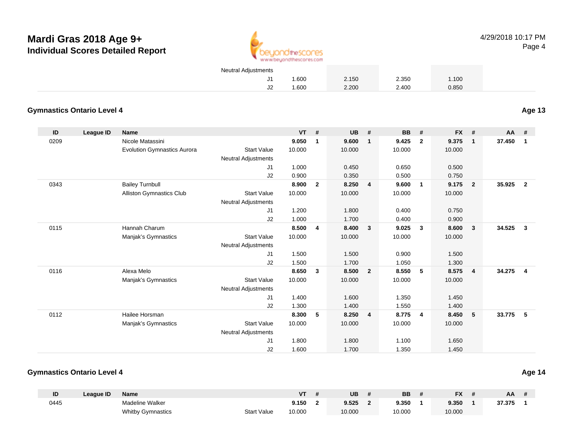

4/29/2018 10:17 PMPage 4

| <b>Neutral Adjustments</b> |      |       |       |       |  |
|----------------------------|------|-------|-------|-------|--|
|                            | .600 | 2.150 | 2.350 | 1.100 |  |
|                            | .600 | 2.200 | 2.400 | 0.850 |  |

#### **Gymnastics Ontario Level 4**

**ID League ID Name VT # UB # BB # FX # AA #** 0209 Nicole Matassini **9.050 <sup>1</sup> 9.600 <sup>1</sup> 9.425 <sup>2</sup> 9.375 <sup>1</sup> 37.450 <sup>1</sup>** Evolution Gymnastics Aurora Start Value 10.000 10.000 10.000 10.000 Neutral Adjustments J1 1.000 0.450 0.650 0.500 J2 0.900 0.350 0.500 0.750 0343 Bailey Turnbull **8.900 <sup>2</sup> 8.250 <sup>4</sup> 9.600 <sup>1</sup> 9.175 <sup>2</sup> 35.925 <sup>2</sup>** Alliston Gymnastics Clubb 3tart Value 10.000 10.000 10.000 10.000 10.000 Neutral Adjustments J1 1.200 1.800 0.400 0.750 J2 1.000 1.700 0.400 0.900 0115 Hannah Charum **8.500 <sup>4</sup> 8.400 <sup>3</sup> 9.025 <sup>3</sup> 8.600 <sup>3</sup> 34.525 <sup>3</sup>** Manjak's Gymnastics Start Valuee 10.000 10.000 10.000 10.000 Neutral Adjustments J1 1.500 1.500 0.900 1.500 J2 1.500 1.700 1.050 1.300 0116 Alexa Melo **8.650 <sup>3</sup> 8.500 <sup>2</sup> 8.550 <sup>5</sup> 8.575 <sup>4</sup> 34.275 <sup>4</sup>** Manjak's Gymnastics Start Valuee 10.000 10.000 10.000 10.000 Neutral Adjustments J1 1.400 1.600 1.350 1.450 J2 1.300 1.400 1.550 1.400 0112 Hailee Horsman **8.300 <sup>5</sup> 8.250 <sup>4</sup> 8.775 <sup>4</sup> 8.450 <sup>5</sup> 33.775 <sup>5</sup>** Manjak's Gymnastics Start Valuee 10.000 10.000 10.000 10.000 Neutral Adjustments J1 1.800 1.800 1.100 1.650 J21.600 1.700 1.350 1.450

#### **Gymnastics Ontario Level 4**

| ID   | Leaque ID | Name                     |                    | vт     | UB     | <b>BB</b> | <b>FX</b> | AA     |  |
|------|-----------|--------------------------|--------------------|--------|--------|-----------|-----------|--------|--|
| 0445 |           | Madeline Walker          |                    | 9.150  | 9.525  | 9.350     | 9.350     | 37.375 |  |
|      |           | <b>Whitby Gymnastics</b> | <b>Start Value</b> | 10.000 | 10.000 | 10.000    | 10.000    |        |  |

**Age 13**

**Age 14**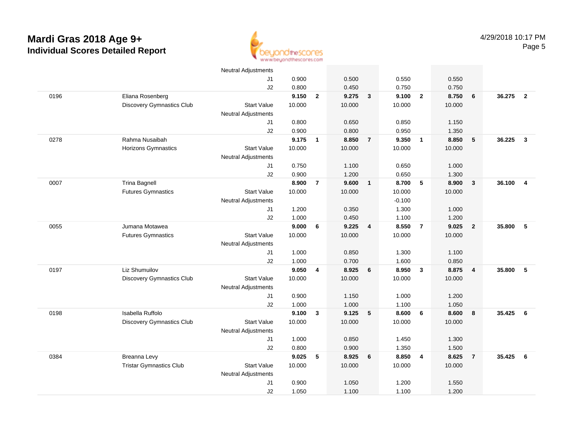

|      |                                  | <b>Neutral Adjustments</b> |        |                |        |                         |          |                          |        |                         |        |                         |
|------|----------------------------------|----------------------------|--------|----------------|--------|-------------------------|----------|--------------------------|--------|-------------------------|--------|-------------------------|
|      |                                  | J1                         | 0.900  |                | 0.500  |                         | 0.550    |                          | 0.550  |                         |        |                         |
|      |                                  | J2                         | 0.800  |                | 0.450  |                         | 0.750    |                          | 0.750  |                         |        |                         |
| 0196 | Eliana Rosenberg                 |                            | 9.150  | $\overline{2}$ | 9.275  | $\overline{\mathbf{3}}$ | 9.100    | $\overline{\mathbf{2}}$  | 8.750  | 6                       | 36.275 | $\overline{\mathbf{2}}$ |
|      | <b>Discovery Gymnastics Club</b> | <b>Start Value</b>         | 10.000 |                | 10.000 |                         | 10.000   |                          | 10.000 |                         |        |                         |
|      |                                  | <b>Neutral Adjustments</b> |        |                |        |                         |          |                          |        |                         |        |                         |
|      |                                  | J1                         | 0.800  |                | 0.650  |                         | 0.850    |                          | 1.150  |                         |        |                         |
|      |                                  | J2                         | 0.900  |                | 0.800  |                         | 0.950    |                          | 1.350  |                         |        |                         |
| 0278 | Rahma Nusaibah                   |                            | 9.175  | $\mathbf{1}$   | 8.850  | $\overline{7}$          | 9.350    | $\overline{\phantom{a}}$ | 8.850  | $\sqrt{5}$              | 36.225 | $\mathbf{3}$            |
|      | <b>Horizons Gymnastics</b>       | <b>Start Value</b>         | 10.000 |                | 10.000 |                         | 10.000   |                          | 10.000 |                         |        |                         |
|      |                                  | <b>Neutral Adjustments</b> |        |                |        |                         |          |                          |        |                         |        |                         |
|      |                                  | J1                         | 0.750  |                | 1.100  |                         | 0.650    |                          | 1.000  |                         |        |                         |
|      |                                  | J2                         | 0.900  |                | 1.200  |                         | 0.650    |                          | 1.300  |                         |        |                         |
| 0007 | <b>Trina Bagnell</b>             |                            | 8.900  | $\overline{7}$ | 9.600  | $\overline{1}$          | 8.700    | 5                        | 8.900  | $\overline{\mathbf{3}}$ | 36.100 | $\overline{\mathbf{4}}$ |
|      | <b>Futures Gymnastics</b>        | <b>Start Value</b>         | 10.000 |                | 10.000 |                         | 10.000   |                          | 10.000 |                         |        |                         |
|      |                                  | <b>Neutral Adjustments</b> |        |                |        |                         | $-0.100$ |                          |        |                         |        |                         |
|      |                                  | J1                         | 1.200  |                | 0.350  |                         | 1.300    |                          | 1.000  |                         |        |                         |
|      |                                  | J2                         | 1.000  |                | 0.450  |                         | 1.100    |                          | 1.200  |                         |        |                         |
| 0055 | Jumana Motawea                   |                            | 9.000  | 6              | 9.225  | $\overline{4}$          | 8.550    | $\overline{7}$           | 9.025  | $\overline{2}$          | 35.800 | 5                       |
|      | <b>Futures Gymnastics</b>        | <b>Start Value</b>         | 10.000 |                | 10.000 |                         | 10.000   |                          | 10.000 |                         |        |                         |
|      |                                  | Neutral Adjustments        |        |                |        |                         |          |                          |        |                         |        |                         |
|      |                                  | J1                         | 1.000  |                | 0.850  |                         | 1.300    |                          | 1.100  |                         |        |                         |
|      |                                  | J2                         | 1.000  |                | 0.700  |                         | 1.600    |                          | 0.850  |                         |        |                         |
| 0197 | Liz Shumuilov                    |                            | 9.050  | 4              | 8.925  | 6                       | 8.950    | $\overline{\mathbf{3}}$  | 8.875  | $\overline{4}$          | 35.800 | 5                       |
|      | <b>Discovery Gymnastics Club</b> | <b>Start Value</b>         | 10.000 |                | 10.000 |                         | 10.000   |                          | 10.000 |                         |        |                         |
|      |                                  | <b>Neutral Adjustments</b> |        |                |        |                         |          |                          |        |                         |        |                         |
|      |                                  | J1                         | 0.900  |                | 1.150  |                         | 1.000    |                          | 1.200  |                         |        |                         |
|      |                                  | J2                         | 1.000  |                | 1.000  |                         | 1.100    |                          | 1.050  |                         |        |                         |
| 0198 | Isabella Ruffolo                 |                            | 9.100  | $\mathbf{3}$   | 9.125  | 5                       | 8.600    | 6                        | 8.600  | 8                       | 35.425 | 6                       |
|      | <b>Discovery Gymnastics Club</b> | <b>Start Value</b>         | 10.000 |                | 10.000 |                         | 10.000   |                          | 10.000 |                         |        |                         |
|      |                                  | <b>Neutral Adjustments</b> |        |                |        |                         |          |                          |        |                         |        |                         |
|      |                                  | J1                         | 1.000  |                | 0.850  |                         | 1.450    |                          | 1.300  |                         |        |                         |
|      |                                  | J2                         | 0.800  |                | 0.900  |                         | 1.350    |                          | 1.500  |                         |        |                         |
| 0384 | Breanna Levy                     |                            | 9.025  | 5              | 8.925  | 6                       | 8.850    | $\overline{4}$           | 8.625  | $\overline{7}$          | 35.425 | - 6                     |
|      | <b>Tristar Gymnastics Club</b>   | <b>Start Value</b>         | 10.000 |                | 10.000 |                         | 10.000   |                          | 10.000 |                         |        |                         |
|      |                                  | <b>Neutral Adjustments</b> |        |                |        |                         |          |                          |        |                         |        |                         |
|      |                                  | J1                         | 0.900  |                | 1.050  |                         | 1.200    |                          | 1.550  |                         |        |                         |
|      |                                  | J2                         | 1.050  |                | 1.100  |                         | 1.100    |                          | 1.200  |                         |        |                         |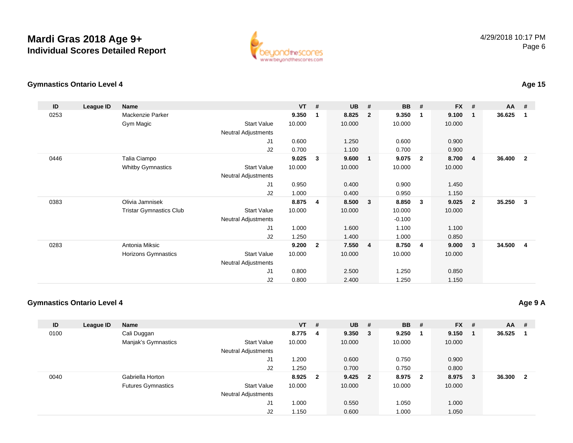

### **Gymnastics Ontario Level 4**

| ID   | League ID | <b>Name</b>                    |                            | <b>VT</b> | #              | <b>UB</b> | #                       | <b>BB</b> | #                       | <b>FX</b> | #              | <b>AA</b> | #            |
|------|-----------|--------------------------------|----------------------------|-----------|----------------|-----------|-------------------------|-----------|-------------------------|-----------|----------------|-----------|--------------|
| 0253 |           | Mackenzie Parker               |                            | 9.350     | $\mathbf{1}$   | 8.825     | $\overline{2}$          | 9.350     | $\overline{\mathbf{1}}$ | 9.100     | $\mathbf{1}$   | 36.625    | 1            |
|      |           | Gym Magic                      | Start Value                | 10.000    |                | 10.000    |                         | 10.000    |                         | 10.000    |                |           |              |
|      |           |                                | <b>Neutral Adjustments</b> |           |                |           |                         |           |                         |           |                |           |              |
|      |           |                                | J1                         | 0.600     |                | 1.250     |                         | 0.600     |                         | 0.900     |                |           |              |
|      |           |                                | J2                         | 0.700     |                | 1.100     |                         | 0.700     |                         | 0.900     |                |           |              |
| 0446 |           | Talia Ciampo                   |                            | 9.025     | 3              | 9.600     | $\mathbf{1}$            | 9.075     | $\overline{\mathbf{2}}$ | 8.700     | -4             | 36.400    | $\mathbf{2}$ |
|      |           | <b>Whitby Gymnastics</b>       | <b>Start Value</b>         | 10.000    |                | 10.000    |                         | 10.000    |                         | 10.000    |                |           |              |
|      |           |                                | <b>Neutral Adjustments</b> |           |                |           |                         |           |                         |           |                |           |              |
|      |           |                                | J <sub>1</sub>             | 0.950     |                | 0.400     |                         | 0.900     |                         | 1.450     |                |           |              |
|      |           |                                | J2                         | 1.000     |                | 0.400     |                         | 0.950     |                         | 1.150     |                |           |              |
| 0383 |           | Olivia Jamnisek                |                            | 8.875     | 4              | 8.500     | $\overline{\mathbf{3}}$ | 8.850     | $\mathbf{3}$            | 9.025     | $\overline{2}$ | 35.250    | 3            |
|      |           | <b>Tristar Gymnastics Club</b> | Start Value                | 10.000    |                | 10.000    |                         | 10.000    |                         | 10.000    |                |           |              |
|      |           |                                | Neutral Adjustments        |           |                |           |                         | $-0.100$  |                         |           |                |           |              |
|      |           |                                | J1                         | 1.000     |                | 1.600     |                         | 1.100     |                         | 1.100     |                |           |              |
|      |           |                                | J2                         | 1.250     |                | 1.400     |                         | 1.000     |                         | 0.850     |                |           |              |
| 0283 |           | Antonia Miksic                 |                            | 9.200     | $\overline{2}$ | 7.550     | $\overline{4}$          | 8.750     | $\overline{4}$          | 9.000     | $\mathbf{3}$   | 34.500    | 4            |
|      |           | Horizons Gymnastics            | Start Value                | 10.000    |                | 10.000    |                         | 10.000    |                         | 10.000    |                |           |              |
|      |           |                                | <b>Neutral Adjustments</b> |           |                |           |                         |           |                         |           |                |           |              |
|      |           |                                | J1                         | 0.800     |                | 2.500     |                         | 1.250     |                         | 0.850     |                |           |              |
|      |           |                                | J2                         | 0.800     |                | 2.400     |                         | 1.250     |                         | 1.150     |                |           |              |

#### **Gymnastics Ontario Level 4**

| ID   | League ID | Name                      |                            | $VT$ #  | <b>UB</b> | # | <b>BB</b> | #                       | <b>FX</b> | # | $AA$ # |              |
|------|-----------|---------------------------|----------------------------|---------|-----------|---|-----------|-------------------------|-----------|---|--------|--------------|
| 0100 |           | Cali Duggan               |                            | 8.775 4 | 9.350 3   |   | 9.250     |                         | 9.150     |   | 36.525 |              |
|      |           | Manjak's Gymnastics       | <b>Start Value</b>         | 10.000  | 10.000    |   | 10.000    |                         | 10.000    |   |        |              |
|      |           |                           | <b>Neutral Adjustments</b> |         |           |   |           |                         |           |   |        |              |
|      |           |                           | J1                         | 1.200   | 0.600     |   | 0.750     |                         | 0.900     |   |        |              |
|      |           |                           | J2                         | 1.250   | 0.700     |   | 0.750     |                         | 0.800     |   |        |              |
| 0040 |           | Gabriella Horton          |                            | 8.925 2 | $9.425$ 2 |   | 8.975     | $\overline{\mathbf{2}}$ | 8.975     | 3 | 36.300 | $\mathbf{2}$ |
|      |           | <b>Futures Gymnastics</b> | <b>Start Value</b>         | 10.000  | 10.000    |   | 10.000    |                         | 10.000    |   |        |              |
|      |           |                           | <b>Neutral Adjustments</b> |         |           |   |           |                         |           |   |        |              |
|      |           |                           | J1                         | 1.000   | 0.550     |   | 1.050     |                         | 1.000     |   |        |              |
|      |           |                           | J2                         | 1.150   | 0.600     |   | 1.000     |                         | 1.050     |   |        |              |

#### **Age 9 A**

### **Age 15**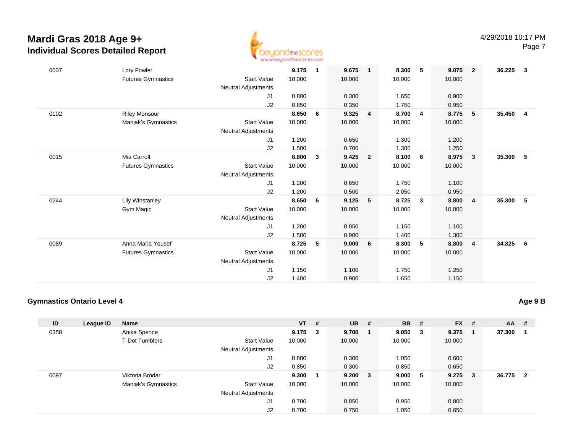

| 0037 | Lory Fowler               |                            | 9.175  | $\mathbf{1}$ | 9.675  | $\overline{1}$ | 8.300  | 5                       | 9.075  | $\overline{2}$ | 36.225 | $\mathbf{3}$   |
|------|---------------------------|----------------------------|--------|--------------|--------|----------------|--------|-------------------------|--------|----------------|--------|----------------|
|      | <b>Futures Gymnastics</b> | <b>Start Value</b>         | 10.000 |              | 10.000 |                | 10.000 |                         | 10.000 |                |        |                |
|      |                           | <b>Neutral Adjustments</b> |        |              |        |                |        |                         |        |                |        |                |
|      |                           | J1                         | 0.800  |              | 0.300  |                | 1.650  |                         | 0.900  |                |        |                |
|      |                           | J2                         | 0.850  |              | 0.350  |                | 1.750  |                         | 0.950  |                |        |                |
| 0102 | <b>Riley Monsour</b>      |                            | 8.650  | 6            | 9.325  | 4              | 8.700  | $\overline{\mathbf{4}}$ | 8.775  | -5             | 35.450 | $\overline{4}$ |
|      | Manjak's Gymnastics       | <b>Start Value</b>         | 10.000 |              | 10.000 |                | 10.000 |                         | 10.000 |                |        |                |
|      |                           | <b>Neutral Adjustments</b> |        |              |        |                |        |                         |        |                |        |                |
|      |                           | J1                         | 1.200  |              | 0.650  |                | 1.300  |                         | 1.200  |                |        |                |
|      |                           | J2                         | 1.500  |              | 0.700  |                | 1.300  |                         | 1.250  |                |        |                |
| 0015 | Mia Carroll               |                            | 8.800  | 3            | 9.425  | $\overline{2}$ | 8.100  | 6                       | 8.975  | $\mathbf{3}$   | 35.300 | 5              |
|      | <b>Futures Gymnastics</b> | <b>Start Value</b>         | 10.000 |              | 10.000 |                | 10.000 |                         | 10.000 |                |        |                |
|      |                           | Neutral Adjustments        |        |              |        |                |        |                         |        |                |        |                |
|      |                           | J <sub>1</sub>             | 1.200  |              | 0.650  |                | 1.750  |                         | 1.100  |                |        |                |
|      |                           | J2                         | 1.200  |              | 0.500  |                | 2.050  |                         | 0.950  |                |        |                |
| 0244 | Lily Winstanley           |                            | 8.650  | 6            | 9.125  | 5              | 8.725  | $\mathbf{3}$            | 8.800  | $\overline{4}$ | 35.300 | 5              |
|      | Gym Magic                 | <b>Start Value</b>         | 10.000 |              | 10.000 |                | 10.000 |                         | 10.000 |                |        |                |
|      |                           | <b>Neutral Adjustments</b> |        |              |        |                |        |                         |        |                |        |                |
|      |                           | J1                         | 1.200  |              | 0.850  |                | 1.150  |                         | 1.100  |                |        |                |
|      |                           | J2                         | 1.500  |              | 0.900  |                | 1.400  |                         | 1.300  |                |        |                |
| 0089 | Anna Maria Yousef         |                            | 8.725  | 5            | 9.000  | 6              | 8.300  | 5                       | 8.800  | - 4            | 34.825 | 6              |
|      | <b>Futures Gymnastics</b> | <b>Start Value</b>         | 10.000 |              | 10.000 |                | 10.000 |                         | 10.000 |                |        |                |
|      |                           | <b>Neutral Adjustments</b> |        |              |        |                |        |                         |        |                |        |                |
|      |                           | J1                         | 1.150  |              | 1.100  |                | 1.750  |                         | 1.250  |                |        |                |
|      |                           |                            |        |              |        |                |        |                         |        |                |        |                |
|      |                           | J2                         | 1.400  |              | 0.900  |                | 1.650  |                         | 1.150  |                |        |                |

### **Gymnastics Ontario Level 4**

| ID   | League ID | <b>Name</b>           |                            | $VT$ #      | <b>UB</b> # |              | <b>BB</b> | #   | <b>FX</b> | #  | $AA$ # |                |
|------|-----------|-----------------------|----------------------------|-------------|-------------|--------------|-----------|-----|-----------|----|--------|----------------|
| 0358 |           | Anika Spence          |                            | $9.175 \t3$ | 9.700       |              | 9.050     | - 3 | 9.375     |    | 37.300 |                |
|      |           | <b>T-Dot Tumblers</b> | <b>Start Value</b>         | 10.000      | 10.000      |              | 10.000    |     | 10.000    |    |        |                |
|      |           |                       | <b>Neutral Adjustments</b> |             |             |              |           |     |           |    |        |                |
|      |           |                       | J1                         | 0.800       | 0.300       |              | 1.050     |     | 0.600     |    |        |                |
|      |           |                       | J2                         | 0.850       | 0.300       |              | 0.850     |     | 0.650     |    |        |                |
| 0097 |           | Viktoria Brodar       |                            | 9.300       | 9.200       | $\mathbf{3}$ | 9.000     | - 5 | 9.275     | -3 | 36.775 | $\overline{2}$ |
|      |           | Manjak's Gymnastics   | <b>Start Value</b>         | 10.000      | 10.000      |              | 10.000    |     | 10.000    |    |        |                |
|      |           |                       | <b>Neutral Adjustments</b> |             |             |              |           |     |           |    |        |                |
|      |           |                       | J1                         | 0.700       | 0.850       |              | 0.950     |     | 0.800     |    |        |                |
|      |           |                       | J <sub>2</sub>             | 0.700       | 0.750       |              | 1.050     |     | 0.650     |    |        |                |

#### **Age 9 B**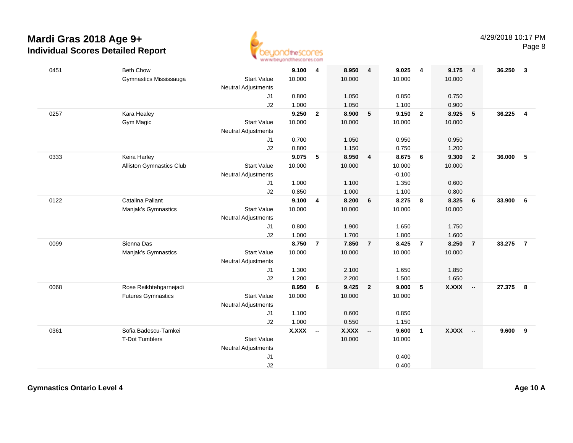

| 0451 | <b>Beth Chow</b>          |                            | 9.100        | $\overline{4}$           | 8.950        | $\overline{4}$          | 9.025    | $\overline{4}$          | 9.175  | $\overline{\mathbf{4}}$  | 36.250 | 3              |
|------|---------------------------|----------------------------|--------------|--------------------------|--------------|-------------------------|----------|-------------------------|--------|--------------------------|--------|----------------|
|      | Gymnastics Mississauga    | <b>Start Value</b>         | 10.000       |                          | 10.000       |                         | 10.000   |                         | 10.000 |                          |        |                |
|      |                           | <b>Neutral Adjustments</b> |              |                          |              |                         |          |                         |        |                          |        |                |
|      |                           | J1                         | 0.800        |                          | 1.050        |                         | 0.850    |                         | 0.750  |                          |        |                |
|      |                           | J2                         | 1.000        |                          | 1.050        |                         | 1.100    |                         | 0.900  |                          |        |                |
| 0257 | Kara Healey               |                            | 9.250        | $\mathbf{2}$             | 8.900        | 5                       | 9.150    | $\overline{\mathbf{2}}$ | 8.925  | 5                        | 36.225 | $\overline{4}$ |
|      | Gym Magic                 | <b>Start Value</b>         | 10.000       |                          | 10.000       |                         | 10.000   |                         | 10.000 |                          |        |                |
|      |                           | Neutral Adjustments        |              |                          |              |                         |          |                         |        |                          |        |                |
|      |                           | J1                         | 0.700        |                          | 1.050        |                         | 0.950    |                         | 0.950  |                          |        |                |
|      |                           | J2                         | 0.800        |                          | 1.150        |                         | 0.750    |                         | 1.200  |                          |        |                |
| 0333 | Keira Harley              |                            | 9.075        | 5                        | 8.950        | $\overline{\mathbf{4}}$ | 8.675    | 6                       | 9.300  | $\overline{2}$           | 36.000 | 5              |
|      | Alliston Gymnastics Club  | <b>Start Value</b>         | 10.000       |                          | 10.000       |                         | 10.000   |                         | 10.000 |                          |        |                |
|      |                           | <b>Neutral Adjustments</b> |              |                          |              |                         | $-0.100$ |                         |        |                          |        |                |
|      |                           | J1                         | 1.000        |                          | 1.100        |                         | 1.350    |                         | 0.600  |                          |        |                |
|      |                           | J2                         | 0.850        |                          | 1.000        |                         | 1.100    |                         | 0.800  |                          |        |                |
| 0122 | Catalina Pallant          |                            | 9.100        | 4                        | 8.200        | 6                       | 8.275    | 8                       | 8.325  | 6                        | 33.900 | 6              |
|      | Manjak's Gymnastics       | <b>Start Value</b>         | 10.000       |                          | 10.000       |                         | 10.000   |                         | 10.000 |                          |        |                |
|      |                           | <b>Neutral Adjustments</b> |              |                          |              |                         |          |                         |        |                          |        |                |
|      |                           | J1                         | 0.800        |                          | 1.900        |                         | 1.650    |                         | 1.750  |                          |        |                |
|      |                           | J2                         | 1.000        |                          | 1.700        |                         | 1.800    |                         | 1.600  |                          |        |                |
| 0099 | Sienna Das                |                            | 8.750        | $\overline{7}$           | 7.850        | $\overline{7}$          | 8.425    | $\overline{7}$          | 8.250  | $\overline{7}$           | 33.275 | $\overline{7}$ |
|      | Manjak's Gymnastics       | <b>Start Value</b>         | 10.000       |                          | 10.000       |                         | 10.000   |                         | 10.000 |                          |        |                |
|      |                           | Neutral Adjustments        |              |                          |              |                         |          |                         |        |                          |        |                |
|      |                           | J1                         | 1.300        |                          | 2.100        |                         | 1.650    |                         | 1.850  |                          |        |                |
|      |                           | J2                         | 1.200        |                          | 2.200        |                         | 1.500    |                         | 1.650  |                          |        |                |
| 0068 | Rose Reikhtehgarnejadi    |                            | 8.950        | 6                        | 9.425        | $\overline{2}$          | 9.000    | 5                       | X.XXX  | $\overline{\phantom{a}}$ | 27.375 | 8              |
|      | <b>Futures Gymnastics</b> | <b>Start Value</b>         | 10.000       |                          | 10.000       |                         | 10.000   |                         |        |                          |        |                |
|      |                           | <b>Neutral Adjustments</b> |              |                          |              |                         |          |                         |        |                          |        |                |
|      |                           | J1                         | 1.100        |                          | 0.600        |                         | 0.850    |                         |        |                          |        |                |
|      |                           | J2                         | 1.000        |                          | 0.550        |                         | 1.150    |                         |        |                          |        |                |
| 0361 | Sofia Badescu-Tamkei      |                            | <b>X.XXX</b> | $\overline{\phantom{a}}$ | <b>X.XXX</b> | $\sim$                  | 9.600    | $\overline{1}$          | X.XXX  | $\overline{\phantom{a}}$ | 9.600  | 9              |
|      | <b>T-Dot Tumblers</b>     | <b>Start Value</b>         |              |                          | 10.000       |                         | 10.000   |                         |        |                          |        |                |
|      |                           | <b>Neutral Adjustments</b> |              |                          |              |                         |          |                         |        |                          |        |                |
|      |                           | J1                         |              |                          |              |                         | 0.400    |                         |        |                          |        |                |
|      |                           | J2                         |              |                          |              |                         | 0.400    |                         |        |                          |        |                |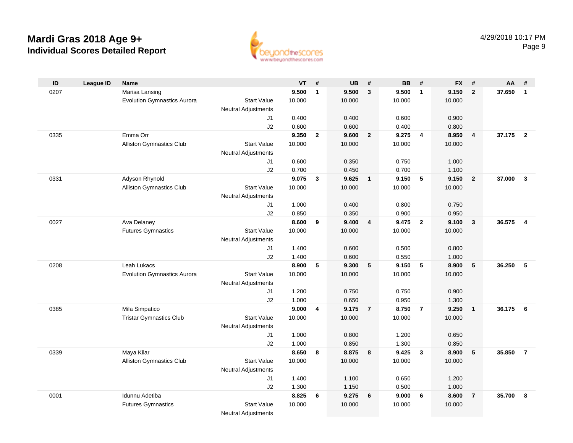

| ID   | <b>League ID</b> | <b>Name</b>                        |                            | <b>VT</b> | #              | <b>UB</b>      | #              | <b>BB</b>      | #                       | <b>FX</b>      | #                       | AA     | #                       |
|------|------------------|------------------------------------|----------------------------|-----------|----------------|----------------|----------------|----------------|-------------------------|----------------|-------------------------|--------|-------------------------|
| 0207 |                  | Marisa Lansing                     |                            | 9.500     | $\mathbf{1}$   | 9.500          | $\mathbf{3}$   | 9.500          | $\overline{1}$          | 9.150          | $\overline{2}$          | 37.650 | $\overline{1}$          |
|      |                  | <b>Evolution Gymnastics Aurora</b> | <b>Start Value</b>         | 10.000    |                | 10.000         |                | 10.000         |                         | 10.000         |                         |        |                         |
|      |                  |                                    | Neutral Adjustments        |           |                |                |                |                |                         |                |                         |        |                         |
|      |                  |                                    | J1                         | 0.400     |                | 0.400          |                | 0.600          |                         | 0.900          |                         |        |                         |
|      |                  |                                    | J2                         | 0.600     |                | 0.600          |                | 0.400          |                         | 0.800          |                         |        |                         |
| 0335 |                  | Emma Orr                           |                            | 9.350     | $\overline{2}$ | 9.600          | $\overline{2}$ | 9.275          | $\overline{\mathbf{4}}$ | 8.950          | $\overline{\mathbf{4}}$ | 37.175 | $\overline{\mathbf{2}}$ |
|      |                  | <b>Alliston Gymnastics Club</b>    | <b>Start Value</b>         | 10.000    |                | 10.000         |                | 10.000         |                         | 10.000         |                         |        |                         |
|      |                  |                                    | <b>Neutral Adjustments</b> |           |                |                |                |                |                         |                |                         |        |                         |
|      |                  |                                    | J1                         | 0.600     |                | 0.350          |                | 0.750          |                         | 1.000          |                         |        |                         |
|      |                  |                                    | J2                         | 0.700     |                | 0.450          |                | 0.700          |                         | 1.100          |                         |        |                         |
| 0331 |                  | Adyson Rhynold                     |                            | 9.075     | $\mathbf{3}$   | 9.625          | $\overline{1}$ | 9.150          | $-5$                    | 9.150          | $\overline{\mathbf{2}}$ | 37.000 | $\overline{\mathbf{3}}$ |
|      |                  | <b>Alliston Gymnastics Club</b>    | <b>Start Value</b>         | 10.000    |                | 10.000         |                | 10.000         |                         | 10.000         |                         |        |                         |
|      |                  |                                    | Neutral Adjustments        | 1.000     |                |                |                |                |                         |                |                         |        |                         |
|      |                  |                                    | J1<br>J2                   | 0.850     |                | 0.400<br>0.350 |                | 0.800<br>0.900 |                         | 0.750<br>0.950 |                         |        |                         |
| 0027 |                  | Ava Delaney                        |                            | 8.600     | 9              | 9.400          | 4              | 9.475          | $\overline{2}$          | 9.100          | $\overline{\mathbf{3}}$ | 36.575 | $\overline{4}$          |
|      |                  | <b>Futures Gymnastics</b>          | <b>Start Value</b>         | 10.000    |                | 10.000         |                | 10.000         |                         | 10.000         |                         |        |                         |
|      |                  |                                    | <b>Neutral Adjustments</b> |           |                |                |                |                |                         |                |                         |        |                         |
|      |                  |                                    | J1                         | 1.400     |                | 0.600          |                | 0.500          |                         | 0.800          |                         |        |                         |
|      |                  |                                    | J2                         | 1.400     |                | 0.600          |                | 0.550          |                         | 1.000          |                         |        |                         |
| 0208 |                  | Leah Lukacs                        |                            | 8.900     | 5              | 9.300          | 5              | 9.150          | 5                       | 8.900          | - 5                     | 36.250 | -5                      |
|      |                  | <b>Evolution Gymnastics Aurora</b> | <b>Start Value</b>         | 10.000    |                | 10.000         |                | 10.000         |                         | 10.000         |                         |        |                         |
|      |                  |                                    | <b>Neutral Adjustments</b> |           |                |                |                |                |                         |                |                         |        |                         |
|      |                  |                                    | J1                         | 1.200     |                | 0.750          |                | 0.750          |                         | 0.900          |                         |        |                         |
|      |                  |                                    | J2                         | 1.000     |                | 0.650          |                | 0.950          |                         | 1.300          |                         |        |                         |
| 0385 |                  | Mila Simpatico                     |                            | 9.000     | 4              | 9.175          | $\overline{7}$ | 8.750          | $\overline{7}$          | 9.250          | $\overline{1}$          | 36.175 | 6                       |
|      |                  | <b>Tristar Gymnastics Club</b>     | <b>Start Value</b>         | 10.000    |                | 10.000         |                | 10.000         |                         | 10.000         |                         |        |                         |
|      |                  |                                    | <b>Neutral Adjustments</b> |           |                |                |                |                |                         |                |                         |        |                         |
|      |                  |                                    | J1                         | 1.000     |                | 0.800          |                | 1.200          |                         | 0.650          |                         |        |                         |
|      |                  |                                    | J2                         | 1.000     |                | 0.850          |                | 1.300          |                         | 0.850          |                         |        |                         |
| 0339 |                  | Maya Kilar                         |                            | 8.650     | 8              | 8.875          | 8              | 9.425          | $\mathbf{3}$            | 8.900          | $-5$                    | 35.850 | $\overline{7}$          |
|      |                  | <b>Alliston Gymnastics Club</b>    | <b>Start Value</b>         | 10.000    |                | 10.000         |                | 10.000         |                         | 10.000         |                         |        |                         |
|      |                  |                                    | <b>Neutral Adjustments</b> |           |                |                |                |                |                         |                |                         |        |                         |
|      |                  |                                    | J1                         | 1.400     |                | 1.100          |                | 0.650          |                         | 1.200          |                         |        |                         |
|      |                  |                                    | J2                         | 1.300     |                | 1.150          |                | 0.500          |                         | 1.000          |                         |        |                         |
| 0001 |                  | Idunnu Adetiba                     |                            | 8.825     | 6              | 9.275          | 6              | 9.000          | 6                       | 8.600          | $\overline{7}$          | 35.700 | -8                      |
|      |                  | <b>Futures Gymnastics</b>          | <b>Start Value</b>         | 10.000    |                | 10.000         |                | 10.000         |                         | 10.000         |                         |        |                         |
|      |                  |                                    | <b>Neutral Adjustments</b> |           |                |                |                |                |                         |                |                         |        |                         |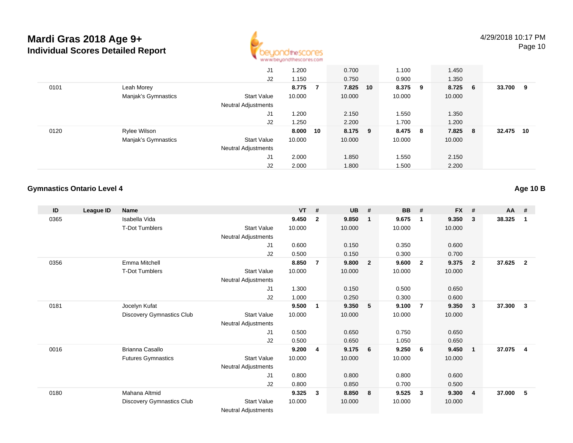

|      |                     | J1                         | 1.200    |                | 0.700    | 1.100  |     | 1.450  |     |        |    |
|------|---------------------|----------------------------|----------|----------------|----------|--------|-----|--------|-----|--------|----|
|      |                     | J2                         | 1.150    |                | 0.750    | 0.900  |     | 1.350  |     |        |    |
| 0101 | Leah Morey          |                            | 8.775    | $\overline{7}$ | 7.825 10 | 8.375  | - 9 | 8.725  | - 6 | 33.700 | 9  |
|      | Manjak's Gymnastics | <b>Start Value</b>         | 10.000   |                | 10.000   | 10.000 |     | 10.000 |     |        |    |
|      |                     | <b>Neutral Adjustments</b> |          |                |          |        |     |        |     |        |    |
|      |                     | J1                         | 1.200    |                | 2.150    | 1.550  |     | 1.350  |     |        |    |
|      |                     | J2                         | 1.250    |                | 2.200    | 1.700  |     | 1.200  |     |        |    |
| 0120 | Rylee Wilson        |                            | 8.000 10 |                | 8.175 9  | 8.475  | - 8 | 7.825  | - 8 | 32.475 | 10 |
|      | Manjak's Gymnastics | <b>Start Value</b>         | 10.000   |                | 10.000   | 10.000 |     | 10.000 |     |        |    |
|      |                     | <b>Neutral Adjustments</b> |          |                |          |        |     |        |     |        |    |
|      |                     | J1                         | 2.000    |                | 1.850    | 1.550  |     | 2.150  |     |        |    |
|      |                     | J2                         | 2.000    |                | 1.800    | 1.500  |     | 2.200  |     |        |    |

### **Gymnastics Ontario Level 4**

**Age 10 B**

| ID   | <b>League ID</b> | Name                             |                            | <b>VT</b> | #              | <b>UB</b> | #                       | <b>BB</b> | #                       | <b>FX</b> | #                       | <b>AA</b> | #            |
|------|------------------|----------------------------------|----------------------------|-----------|----------------|-----------|-------------------------|-----------|-------------------------|-----------|-------------------------|-----------|--------------|
| 0365 |                  | Isabella Vida                    |                            | 9.450     | $\overline{2}$ | 9.850     | $\overline{\mathbf{1}}$ | 9.675     | $\mathbf 1$             | 9.350     | 3                       | 38.325    | 1            |
|      |                  | T-Dot Tumblers                   | <b>Start Value</b>         | 10.000    |                | 10.000    |                         | 10.000    |                         | 10.000    |                         |           |              |
|      |                  |                                  | <b>Neutral Adjustments</b> |           |                |           |                         |           |                         |           |                         |           |              |
|      |                  |                                  | J1                         | 0.600     |                | 0.150     |                         | 0.350     |                         | 0.600     |                         |           |              |
|      |                  |                                  | J2                         | 0.500     |                | 0.150     |                         | 0.300     |                         | 0.700     |                         |           |              |
| 0356 |                  | Emma Mitchell                    |                            | 8.850     | 7              | 9.800     | $\overline{2}$          | 9.600     | $\overline{\mathbf{2}}$ | 9.375     | $\overline{2}$          | 37.625    | $\mathbf{2}$ |
|      |                  | <b>T-Dot Tumblers</b>            | <b>Start Value</b>         | 10.000    |                | 10.000    |                         | 10.000    |                         | 10.000    |                         |           |              |
|      |                  |                                  | Neutral Adjustments        |           |                |           |                         |           |                         |           |                         |           |              |
|      |                  |                                  | J1                         | 1.300     |                | 0.150     |                         | 0.500     |                         | 0.650     |                         |           |              |
|      |                  |                                  | J2                         | 1.000     |                | 0.250     |                         | 0.300     |                         | 0.600     |                         |           |              |
| 0181 |                  | Jocelyn Kufat                    |                            | 9.500     | 1              | 9.350     | 5 <sub>5</sub>          | 9.100     | $\overline{7}$          | 9.350     | 3                       | 37.300    | 3            |
|      |                  | Discovery Gymnastics Club        | <b>Start Value</b>         | 10.000    |                | 10.000    |                         | 10.000    |                         | 10.000    |                         |           |              |
|      |                  |                                  | Neutral Adjustments        |           |                |           |                         |           |                         |           |                         |           |              |
|      |                  |                                  | J1                         | 0.500     |                | 0.650     |                         | 0.750     |                         | 0.650     |                         |           |              |
|      |                  |                                  | J2                         | 0.500     |                | 0.650     |                         | 1.050     |                         | 0.650     |                         |           |              |
| 0016 |                  | Brianna Casallo                  |                            | 9.200     | 4              | 9.175     | $6\overline{6}$         | 9.250     | - 6                     | 9.450     | $\mathbf{1}$            | 37.075    | 4            |
|      |                  | <b>Futures Gymnastics</b>        | <b>Start Value</b>         | 10.000    |                | 10.000    |                         | 10.000    |                         | 10.000    |                         |           |              |
|      |                  |                                  | <b>Neutral Adjustments</b> |           |                |           |                         |           |                         |           |                         |           |              |
|      |                  |                                  | J1                         | 0.800     |                | 0.800     |                         | 0.800     |                         | 0.600     |                         |           |              |
|      |                  |                                  | J <sub>2</sub>             | 0.800     |                | 0.850     |                         | 0.700     |                         | 0.500     |                         |           |              |
| 0180 |                  | Mahana Altmid                    |                            | 9.325     | 3              | 8.850     | - 8                     | 9.525     | $\mathbf{3}$            | 9.300     | $\overline{\mathbf{4}}$ | 37.000    | 5            |
|      |                  | <b>Discovery Gymnastics Club</b> | <b>Start Value</b>         | 10.000    |                | 10.000    |                         | 10.000    |                         | 10.000    |                         |           |              |
|      |                  |                                  | <b>Neutral Adjustments</b> |           |                |           |                         |           |                         |           |                         |           |              |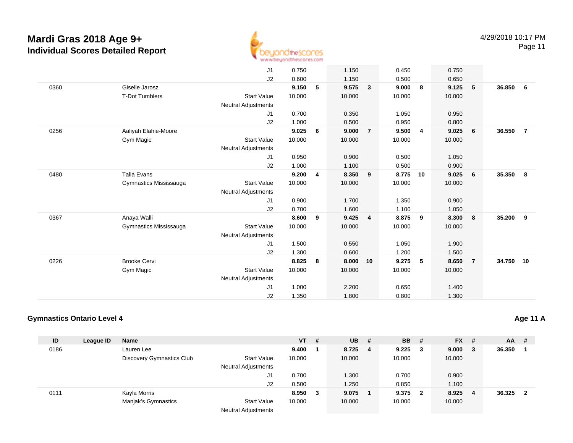

|      |                        | J1                         | 0.750  |   | 1.150  |                | 0.450  |                | 0.750  |                |           |                |
|------|------------------------|----------------------------|--------|---|--------|----------------|--------|----------------|--------|----------------|-----------|----------------|
|      |                        | J2                         | 0.600  |   | 1.150  |                | 0.500  |                | 0.650  |                |           |                |
| 0360 | Giselle Jarosz         |                            | 9.150  | 5 | 9.575  | $\mathbf{3}$   | 9.000  | 8              | 9.125  | 5              | 36.850    | - 6            |
|      | <b>T-Dot Tumblers</b>  | <b>Start Value</b>         | 10.000 |   | 10.000 |                | 10.000 |                | 10.000 |                |           |                |
|      |                        | <b>Neutral Adjustments</b> |        |   |        |                |        |                |        |                |           |                |
|      |                        | J1                         | 0.700  |   | 0.350  |                | 1.050  |                | 0.950  |                |           |                |
|      |                        | J2                         | 1.000  |   | 0.500  |                | 0.950  |                | 0.800  |                |           |                |
| 0256 | Aaliyah Elahie-Moore   |                            | 9.025  | 6 | 9.000  | $\overline{7}$ | 9.500  | $\overline{4}$ | 9.025  | 6              | 36.550    | $\overline{7}$ |
|      | Gym Magic              | <b>Start Value</b>         | 10.000 |   | 10.000 |                | 10.000 |                | 10.000 |                |           |                |
|      |                        | <b>Neutral Adjustments</b> |        |   |        |                |        |                |        |                |           |                |
|      |                        | J1                         | 0.950  |   | 0.900  |                | 0.500  |                | 1.050  |                |           |                |
|      |                        | J2                         | 1.000  |   | 1.100  |                | 0.500  |                | 0.900  |                |           |                |
| 0480 | <b>Talia Evans</b>     |                            | 9.200  | 4 | 8.350  | 9              | 8.775  | 10             | 9.025  | 6              | 35.350    | - 8            |
|      | Gymnastics Mississauga | <b>Start Value</b>         | 10.000 |   | 10.000 |                | 10.000 |                | 10.000 |                |           |                |
|      |                        | <b>Neutral Adjustments</b> |        |   |        |                |        |                |        |                |           |                |
|      |                        | J1                         | 0.900  |   | 1.700  |                | 1.350  |                | 0.900  |                |           |                |
|      |                        | J2                         | 0.700  |   | 1.600  |                | 1.100  |                | 1.050  |                |           |                |
| 0367 | Anaya Walli            |                            | 8.600  | 9 | 9.425  | $\overline{4}$ | 8.875  | 9              | 8.300  | 8              | 35.200    | -9             |
|      | Gymnastics Mississauga | <b>Start Value</b>         | 10.000 |   | 10.000 |                | 10.000 |                | 10.000 |                |           |                |
|      |                        | <b>Neutral Adjustments</b> |        |   |        |                |        |                |        |                |           |                |
|      |                        | J1                         | 1.500  |   | 0.550  |                | 1.050  |                | 1.900  |                |           |                |
|      |                        | J2                         | 1.300  |   | 0.600  |                | 1.200  |                | 1.500  |                |           |                |
| 0226 | <b>Brooke Cervi</b>    |                            | 8.825  | 8 | 8.000  | 10             | 9.275  | 5              | 8.650  | $\overline{7}$ | 34.750 10 |                |
|      | Gym Magic              | <b>Start Value</b>         | 10.000 |   | 10.000 |                | 10.000 |                | 10.000 |                |           |                |
|      |                        | <b>Neutral Adjustments</b> |        |   |        |                |        |                |        |                |           |                |
|      |                        | J1                         | 1.000  |   | 2.200  |                | 0.650  |                | 1.400  |                |           |                |
|      |                        | J2                         | 1.350  |   | 1.800  |                | 0.800  |                | 1.300  |                |           |                |
|      |                        |                            |        |   |        |                |        |                |        |                |           |                |

### **Gymnastics Ontario Level 4**

| ID   | League ID | <b>Name</b>               |                            | <b>VT</b> | #  | <b>UB</b> | -# | <b>BB</b> # |                         | $FX$ # |     | AA     | - # |
|------|-----------|---------------------------|----------------------------|-----------|----|-----------|----|-------------|-------------------------|--------|-----|--------|-----|
| 0186 |           | Lauren Lee                |                            | 9.400     |    | 8.725     | 4  | $9.225 \t3$ |                         | 9.000  | - 3 | 36.350 |     |
|      |           | Discovery Gymnastics Club | Start Value                | 10.000    |    | 10.000    |    | 10.000      |                         | 10.000 |     |        |     |
|      |           |                           | <b>Neutral Adjustments</b> |           |    |           |    |             |                         |        |     |        |     |
|      |           |                           | J1                         | 0.700     |    | 1.300     |    | 0.700       |                         | 0.900  |     |        |     |
|      |           |                           | J2                         | 0.500     |    | 1.250     |    | 0.850       |                         | 1.100  |     |        |     |
| 0111 |           | Kayla Morris              |                            | 8.950     | -3 | 9.075     |    | 9.375       | $\overline{\mathbf{2}}$ | 8.925  | - 4 | 36.325 | - 2 |
|      |           | Manjak's Gymnastics       | <b>Start Value</b>         | 10.000    |    | 10.000    |    | 10.000      |                         | 10.000 |     |        |     |
|      |           |                           | <b>Neutral Adjustments</b> |           |    |           |    |             |                         |        |     |        |     |

**Age 11 A**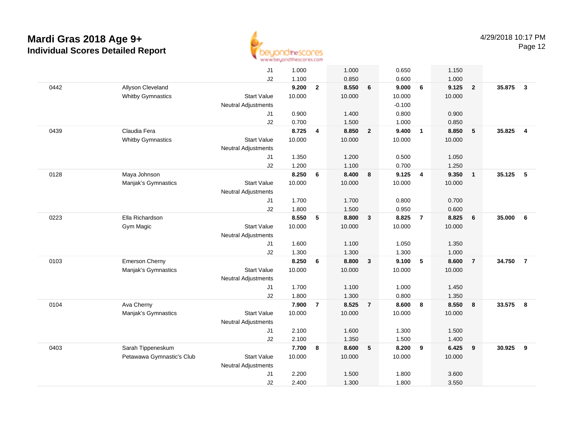

|      |                           | J1                         | 1.000  |                | 1.000  |                | 0.650    |                         | 1.150  |                |        |                         |
|------|---------------------------|----------------------------|--------|----------------|--------|----------------|----------|-------------------------|--------|----------------|--------|-------------------------|
|      |                           | J2                         | 1.100  |                | 0.850  |                | 0.600    |                         | 1.000  |                |        |                         |
| 0442 | Allyson Cleveland         |                            | 9.200  | $\mathbf{2}$   | 8.550  | 6              | 9.000    | 6                       | 9.125  | $\overline{2}$ | 35.875 | $\mathbf{3}$            |
|      | <b>Whitby Gymnastics</b>  | <b>Start Value</b>         | 10.000 |                | 10.000 |                | 10.000   |                         | 10.000 |                |        |                         |
|      |                           | <b>Neutral Adjustments</b> |        |                |        |                | $-0.100$ |                         |        |                |        |                         |
|      |                           | J1                         | 0.900  |                | 1.400  |                | 0.800    |                         | 0.900  |                |        |                         |
|      |                           | J2                         | 0.700  |                | 1.500  |                | 1.000    |                         | 0.850  |                |        |                         |
| 0439 | Claudia Fera              |                            | 8.725  | 4              | 8.850  | $\overline{2}$ | 9.400    | $\overline{\mathbf{1}}$ | 8.850  | 5              | 35.825 | $\overline{\mathbf{4}}$ |
|      | <b>Whitby Gymnastics</b>  | <b>Start Value</b>         | 10.000 |                | 10.000 |                | 10.000   |                         | 10.000 |                |        |                         |
|      |                           | <b>Neutral Adjustments</b> |        |                |        |                |          |                         |        |                |        |                         |
|      |                           | J <sub>1</sub>             | 1.350  |                | 1.200  |                | 0.500    |                         | 1.050  |                |        |                         |
|      |                           | J2                         | 1.200  |                | 1.100  |                | 0.700    |                         | 1.250  |                |        |                         |
| 0128 | Maya Johnson              |                            | 8.250  | 6              | 8.400  | 8              | 9.125    | $\overline{4}$          | 9.350  | $\overline{1}$ | 35.125 | 5                       |
|      | Manjak's Gymnastics       | <b>Start Value</b>         | 10.000 |                | 10.000 |                | 10.000   |                         | 10.000 |                |        |                         |
|      |                           | Neutral Adjustments        |        |                |        |                |          |                         |        |                |        |                         |
|      |                           | J1                         | 1.700  |                | 1.700  |                | 0.800    |                         | 0.700  |                |        |                         |
|      |                           | J2                         | 1.800  |                | 1.500  |                | 0.950    |                         | 0.600  |                |        |                         |
| 0223 | Ella Richardson           |                            | 8.550  | 5              | 8.800  | $\mathbf{3}$   | 8.825    | $\overline{7}$          | 8.825  | 6              | 35.000 | 6                       |
|      | Gym Magic                 | <b>Start Value</b>         | 10.000 |                | 10.000 |                | 10.000   |                         | 10.000 |                |        |                         |
|      |                           | <b>Neutral Adjustments</b> |        |                |        |                |          |                         |        |                |        |                         |
|      |                           | J1                         | 1.600  |                | 1.100  |                | 1.050    |                         | 1.350  |                |        |                         |
|      |                           | J2                         | 1.300  |                | 1.300  |                | 1.300    |                         | 1.000  |                |        |                         |
| 0103 | Emerson Cherny            |                            | 8.250  | 6              | 8.800  | $\mathbf{3}$   | 9.100    | 5                       | 8.600  | $\overline{7}$ | 34.750 | $\overline{7}$          |
|      | Manjak's Gymnastics       | <b>Start Value</b>         | 10.000 |                | 10.000 |                | 10.000   |                         | 10.000 |                |        |                         |
|      |                           | Neutral Adjustments        |        |                |        |                |          |                         |        |                |        |                         |
|      |                           | J1                         | 1.700  |                | 1.100  |                | 1.000    |                         | 1.450  |                |        |                         |
|      |                           | J2                         | 1.800  |                | 1.300  |                | 0.800    |                         | 1.350  |                |        |                         |
| 0104 | Ava Cherny                |                            | 7.900  | $\overline{7}$ | 8.525  | $\overline{7}$ | 8.600    | 8                       | 8.550  | 8              | 33.575 | 8                       |
|      | Manjak's Gymnastics       | <b>Start Value</b>         | 10.000 |                | 10.000 |                | 10.000   |                         | 10.000 |                |        |                         |
|      |                           | Neutral Adjustments        |        |                |        |                |          |                         |        |                |        |                         |
|      |                           | J1                         | 2.100  |                | 1.600  |                | 1.300    |                         | 1.500  |                |        |                         |
|      |                           | J2                         | 2.100  |                | 1.350  |                | 1.500    |                         | 1.400  |                |        |                         |
| 0403 | Sarah Tippeneskum         |                            | 7.700  | 8              | 8.600  | 5              | 8.200    | 9                       | 6.425  | 9              | 30.925 | 9                       |
|      | Petawawa Gymnastic's Club | <b>Start Value</b>         | 10.000 |                | 10.000 |                | 10.000   |                         | 10.000 |                |        |                         |
|      |                           | Neutral Adjustments        |        |                |        |                |          |                         |        |                |        |                         |
|      |                           | J <sub>1</sub>             | 2.200  |                | 1.500  |                | 1.800    |                         | 3.600  |                |        |                         |
|      |                           | J <sub>2</sub>             | 2.400  |                | 1.300  |                | 1.800    |                         | 3.550  |                |        |                         |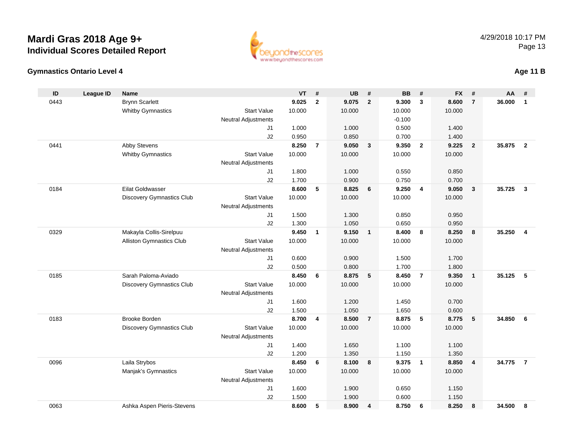



### **Age 11 B**

| ID   | <b>League ID</b> | <b>Name</b>                      |                            | <b>VT</b> | #              | <b>UB</b> | #                       | <b>BB</b> | #                       | <b>FX</b> | #                       | AA     | #              |
|------|------------------|----------------------------------|----------------------------|-----------|----------------|-----------|-------------------------|-----------|-------------------------|-----------|-------------------------|--------|----------------|
| 0443 |                  | <b>Brynn Scarlett</b>            |                            | 9.025     | $\mathbf{2}$   | 9.075     | $\overline{2}$          | 9.300     | $\overline{\mathbf{3}}$ | 8.600     | $\overline{7}$          | 36,000 | $\mathbf{1}$   |
|      |                  | <b>Whitby Gymnastics</b>         | <b>Start Value</b>         | 10.000    |                | 10.000    |                         | 10.000    |                         | 10.000    |                         |        |                |
|      |                  |                                  | <b>Neutral Adjustments</b> |           |                |           |                         | $-0.100$  |                         |           |                         |        |                |
|      |                  |                                  | J1                         | 1.000     |                | 1.000     |                         | 0.500     |                         | 1.400     |                         |        |                |
|      |                  |                                  | J2                         | 0.950     |                | 0.850     |                         | 0.700     |                         | 1.400     |                         |        |                |
| 0441 |                  | Abby Stevens                     |                            | 8.250     | $\overline{7}$ | 9.050     | $\mathbf{3}$            | 9.350     | $\overline{2}$          | 9.225     | $\overline{2}$          | 35.875 | $\overline{2}$ |
|      |                  | <b>Whitby Gymnastics</b>         | <b>Start Value</b>         | 10.000    |                | 10.000    |                         | 10.000    |                         | 10.000    |                         |        |                |
|      |                  |                                  | Neutral Adjustments        |           |                |           |                         |           |                         |           |                         |        |                |
|      |                  |                                  | J <sub>1</sub>             | 1.800     |                | 1.000     |                         | 0.550     |                         | 0.850     |                         |        |                |
|      |                  |                                  | J2                         | 1.700     |                | 0.900     |                         | 0.750     |                         | 0.700     |                         |        |                |
| 0184 |                  | <b>Eilat Goldwasser</b>          |                            | 8.600     | 5              | 8.825     | 6                       | 9.250     | $\overline{4}$          | 9.050     | $\overline{\mathbf{3}}$ | 35.725 | $\mathbf{3}$   |
|      |                  | <b>Discovery Gymnastics Club</b> | <b>Start Value</b>         | 10.000    |                | 10.000    |                         | 10.000    |                         | 10.000    |                         |        |                |
|      |                  |                                  | Neutral Adjustments        |           |                |           |                         |           |                         |           |                         |        |                |
|      |                  |                                  | J <sub>1</sub>             | 1.500     |                | 1.300     |                         | 0.850     |                         | 0.950     |                         |        |                |
|      |                  |                                  | J2                         | 1.300     |                | 1.050     |                         | 0.650     |                         | 0.950     |                         |        |                |
| 0329 |                  | Makayla Collis-Sirelpuu          |                            | 9.450     | $\mathbf{1}$   | 9.150     | $\overline{\mathbf{1}}$ | 8.400     | 8                       | 8.250     | 8                       | 35.250 | 4              |
|      |                  | <b>Alliston Gymnastics Club</b>  | <b>Start Value</b>         | 10.000    |                | 10.000    |                         | 10.000    |                         | 10.000    |                         |        |                |
|      |                  |                                  | <b>Neutral Adjustments</b> |           |                |           |                         |           |                         |           |                         |        |                |
|      |                  |                                  | J <sub>1</sub>             | 0.600     |                | 0.900     |                         | 1.500     |                         | 1.700     |                         |        |                |
|      |                  |                                  | J2                         | 0.500     |                | 0.800     |                         | 1.700     |                         | 1.800     |                         |        |                |
| 0185 |                  | Sarah Paloma-Aviado              |                            | 8.450     | 6              | 8.875     | 5                       | 8.450     | $\overline{7}$          | 9.350     | $\mathbf{1}$            | 35.125 | 5              |
|      |                  | <b>Discovery Gymnastics Club</b> | <b>Start Value</b>         | 10.000    |                | 10.000    |                         | 10.000    |                         | 10.000    |                         |        |                |
|      |                  |                                  | <b>Neutral Adjustments</b> |           |                |           |                         |           |                         |           |                         |        |                |
|      |                  |                                  | J <sub>1</sub>             | 1.600     |                | 1.200     |                         | 1.450     |                         | 0.700     |                         |        |                |
|      |                  |                                  | J2                         | 1.500     |                | 1.050     |                         | 1.650     |                         | 0.600     |                         |        |                |
| 0183 |                  | <b>Brooke Borden</b>             |                            | 8.700     | 4              | 8.500     | $\overline{7}$          | 8.875     | 5                       | 8.775     | 5                       | 34.850 | 6              |
|      |                  | <b>Discovery Gymnastics Club</b> | <b>Start Value</b>         | 10.000    |                | 10.000    |                         | 10.000    |                         | 10.000    |                         |        |                |
|      |                  |                                  | <b>Neutral Adjustments</b> |           |                |           |                         |           |                         |           |                         |        |                |
|      |                  |                                  | J <sub>1</sub>             | 1.400     |                | 1.650     |                         | 1.100     |                         | 1.100     |                         |        |                |
|      |                  |                                  | J2                         | 1.200     |                | 1.350     |                         | 1.150     |                         | 1.350     |                         |        |                |
| 0096 |                  | Laila Strybos                    |                            | 8.450     | 6              | 8.100     | 8                       | 9.375     | $\overline{\mathbf{1}}$ | 8.850     | $\overline{4}$          | 34.775 | $\overline{7}$ |
|      |                  | Manjak's Gymnastics              | <b>Start Value</b>         | 10.000    |                | 10.000    |                         | 10.000    |                         | 10.000    |                         |        |                |
|      |                  |                                  | <b>Neutral Adjustments</b> |           |                |           |                         |           |                         |           |                         |        |                |
|      |                  |                                  | J1                         | 1.600     |                | 1.900     |                         | 0.650     |                         | 1.150     |                         |        |                |
|      |                  |                                  | J2                         | 1.500     |                | 1.900     |                         | 0.600     |                         | 1.150     |                         |        |                |
| 0063 |                  | Ashka Aspen Pieris-Stevens       |                            | 8.600     | 5              | 8.900     | 4                       | 8.750     | 6                       | 8.250     | 8                       | 34.500 | 8              |